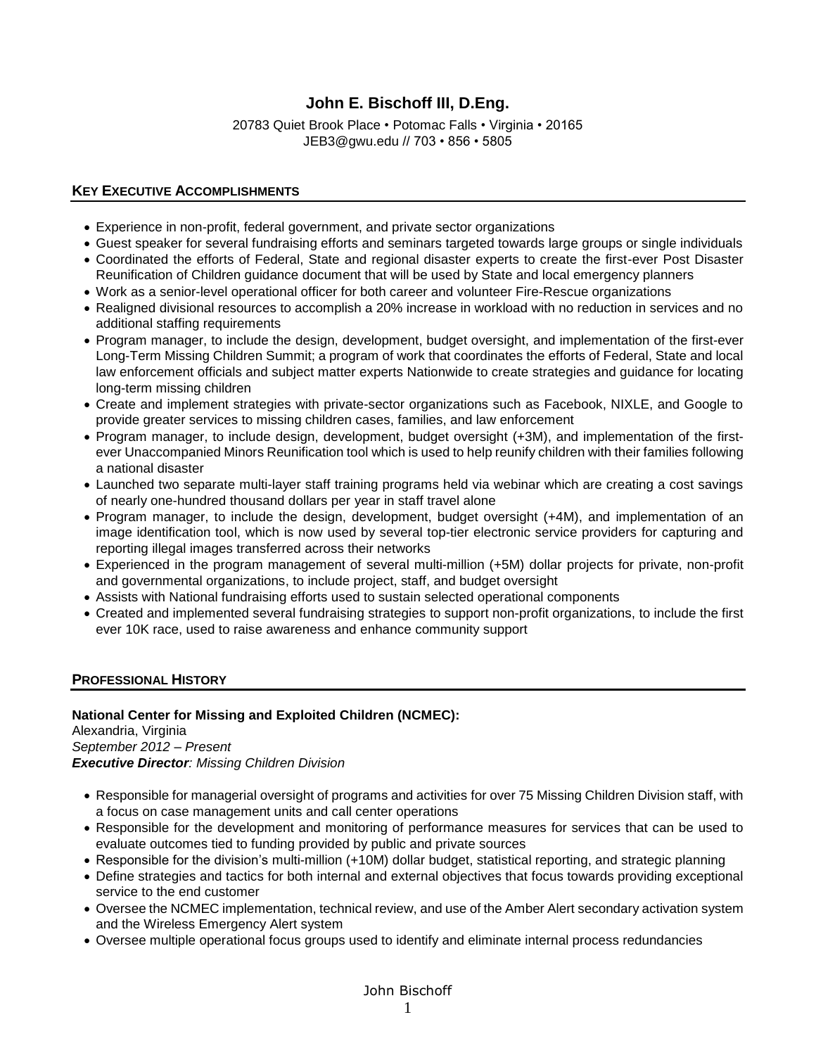# **John E. Bischoff III, D.Eng.**

20783 Quiet Brook Place • Potomac Falls • Virginia • 20165 JEB3@gwu.edu // 703 • 856 • 5805

# **KEY EXECUTIVE ACCOMPLISHMENTS**

- Experience in non-profit, federal government, and private sector organizations
- Guest speaker for several fundraising efforts and seminars targeted towards large groups or single individuals • Coordinated the efforts of Federal, State and regional disaster experts to create the first-ever Post Disaster Reunification of Children guidance document that will be used by State and local emergency planners
- Work as a senior-level operational officer for both career and volunteer Fire-Rescue organizations
- Realigned divisional resources to accomplish a 20% increase in workload with no reduction in services and no additional staffing requirements
- Program manager, to include the design, development, budget oversight, and implementation of the first-ever Long-Term Missing Children Summit; a program of work that coordinates the efforts of Federal, State and local law enforcement officials and subject matter experts Nationwide to create strategies and guidance for locating long-term missing children
- Create and implement strategies with private-sector organizations such as Facebook, NIXLE, and Google to provide greater services to missing children cases, families, and law enforcement
- Program manager, to include design, development, budget oversight (+3M), and implementation of the firstever Unaccompanied Minors Reunification tool which is used to help reunify children with their families following a national disaster
- Launched two separate multi-layer staff training programs held via webinar which are creating a cost savings of nearly one-hundred thousand dollars per year in staff travel alone
- Program manager, to include the design, development, budget oversight (+4M), and implementation of an image identification tool, which is now used by several top-tier electronic service providers for capturing and reporting illegal images transferred across their networks
- Experienced in the program management of several multi-million (+5M) dollar projects for private, non-profit and governmental organizations, to include project, staff, and budget oversight
- Assists with National fundraising efforts used to sustain selected operational components
- Created and implemented several fundraising strategies to support non-profit organizations, to include the first ever 10K race, used to raise awareness and enhance community support

## **PROFESSIONAL HISTORY**

## **National Center for Missing and Exploited Children (NCMEC):**

Alexandria, Virginia *September 2012 – Present Executive Director: Missing Children Division*

- Responsible for managerial oversight of programs and activities for over 75 Missing Children Division staff, with a focus on case management units and call center operations
- Responsible for the development and monitoring of performance measures for services that can be used to evaluate outcomes tied to funding provided by public and private sources
- Responsible for the division's multi-million (+10M) dollar budget, statistical reporting, and strategic planning
- Define strategies and tactics for both internal and external objectives that focus towards providing exceptional service to the end customer
- Oversee the NCMEC implementation, technical review, and use of the Amber Alert secondary activation system and the Wireless Emergency Alert system
- Oversee multiple operational focus groups used to identify and eliminate internal process redundancies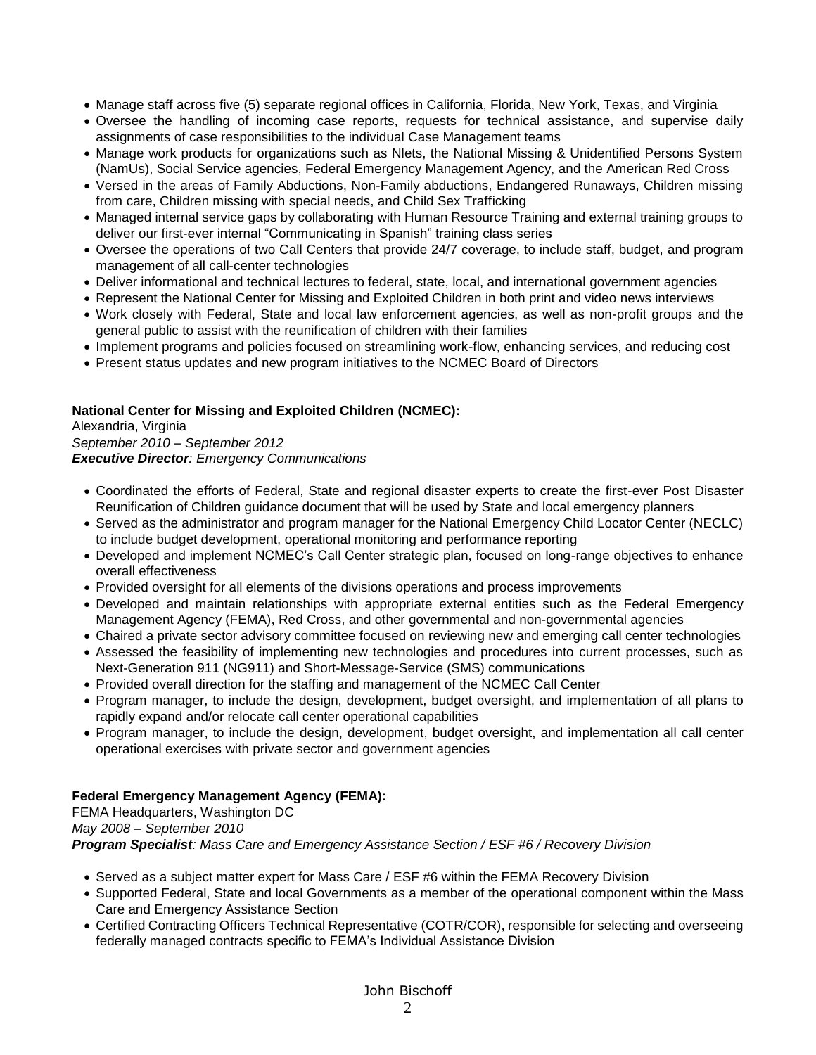- Manage staff across five (5) separate regional offices in California, Florida, New York, Texas, and Virginia
- Oversee the handling of incoming case reports, requests for technical assistance, and supervise daily assignments of case responsibilities to the individual Case Management teams
- Manage work products for organizations such as Nlets, the National Missing & Unidentified Persons System (NamUs), Social Service agencies, Federal Emergency Management Agency, and the American Red Cross
- Versed in the areas of Family Abductions, Non-Family abductions, Endangered Runaways, Children missing from care, Children missing with special needs, and Child Sex Trafficking
- Managed internal service gaps by collaborating with Human Resource Training and external training groups to deliver our first-ever internal "Communicating in Spanish" training class series
- Oversee the operations of two Call Centers that provide 24/7 coverage, to include staff, budget, and program management of all call-center technologies
- Deliver informational and technical lectures to federal, state, local, and international government agencies
- Represent the National Center for Missing and Exploited Children in both print and video news interviews
- Work closely with Federal, State and local law enforcement agencies, as well as non-profit groups and the general public to assist with the reunification of children with their families
- Implement programs and policies focused on streamlining work-flow, enhancing services, and reducing cost
- Present status updates and new program initiatives to the NCMEC Board of Directors

## **National Center for Missing and Exploited Children (NCMEC):**

Alexandria, Virginia *September 2010 – September 2012 Executive Director: Emergency Communications*

- Coordinated the efforts of Federal, State and regional disaster experts to create the first-ever Post Disaster Reunification of Children guidance document that will be used by State and local emergency planners
- Served as the administrator and program manager for the National Emergency Child Locator Center (NECLC) to include budget development, operational monitoring and performance reporting
- Developed and implement NCMEC's Call Center strategic plan, focused on long-range objectives to enhance overall effectiveness
- Provided oversight for all elements of the divisions operations and process improvements
- Developed and maintain relationships with appropriate external entities such as the Federal Emergency Management Agency (FEMA), Red Cross, and other governmental and non-governmental agencies
- Chaired a private sector advisory committee focused on reviewing new and emerging call center technologies
- Assessed the feasibility of implementing new technologies and procedures into current processes, such as Next-Generation 911 (NG911) and Short-Message-Service (SMS) communications
- Provided overall direction for the staffing and management of the NCMEC Call Center
- Program manager, to include the design, development, budget oversight, and implementation of all plans to rapidly expand and/or relocate call center operational capabilities
- Program manager, to include the design, development, budget oversight, and implementation all call center operational exercises with private sector and government agencies

# **Federal Emergency Management Agency (FEMA):**

FEMA Headquarters, Washington DC *May 2008 – September 2010 Program Specialist: Mass Care and Emergency Assistance Section / ESF #6 / Recovery Division*

- Served as a subject matter expert for Mass Care / ESF #6 within the FEMA Recovery Division
- Supported Federal, State and local Governments as a member of the operational component within the Mass Care and Emergency Assistance Section
- Certified Contracting Officers Technical Representative (COTR/COR), responsible for selecting and overseeing federally managed contracts specific to FEMA's Individual Assistance Division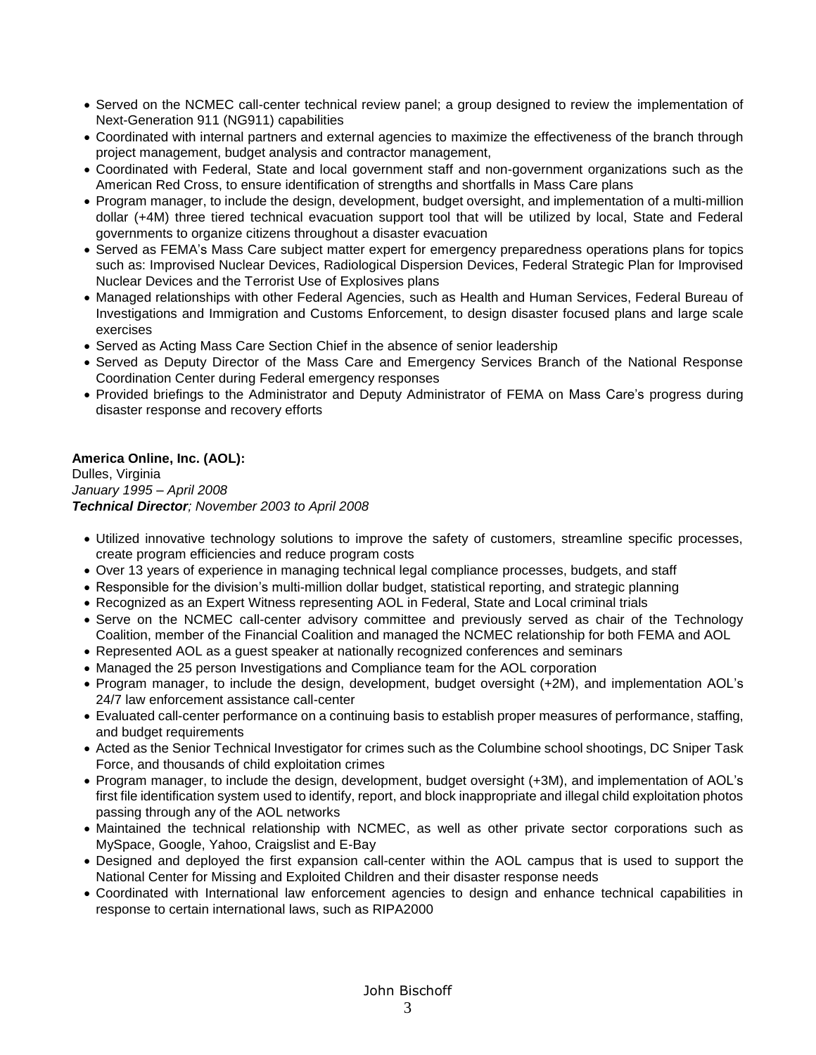- Served on the NCMEC call-center technical review panel; a group designed to review the implementation of Next-Generation 911 (NG911) capabilities
- Coordinated with internal partners and external agencies to maximize the effectiveness of the branch through project management, budget analysis and contractor management,
- Coordinated with Federal, State and local government staff and non-government organizations such as the American Red Cross, to ensure identification of strengths and shortfalls in Mass Care plans
- Program manager, to include the design, development, budget oversight, and implementation of a multi-million dollar (+4M) three tiered technical evacuation support tool that will be utilized by local, State and Federal governments to organize citizens throughout a disaster evacuation
- Served as FEMA's Mass Care subject matter expert for emergency preparedness operations plans for topics such as: Improvised Nuclear Devices, Radiological Dispersion Devices, Federal Strategic Plan for Improvised Nuclear Devices and the Terrorist Use of Explosives plans
- Managed relationships with other Federal Agencies, such as Health and Human Services, Federal Bureau of Investigations and Immigration and Customs Enforcement, to design disaster focused plans and large scale exercises
- Served as Acting Mass Care Section Chief in the absence of senior leadership
- Served as Deputy Director of the Mass Care and Emergency Services Branch of the National Response Coordination Center during Federal emergency responses
- Provided briefings to the Administrator and Deputy Administrator of FEMA on Mass Care's progress during disaster response and recovery efforts

# **America Online, Inc. (AOL):**

Dulles, Virginia *January 1995 – April 2008 Technical Director; November 2003 to April 2008*

- Utilized innovative technology solutions to improve the safety of customers, streamline specific processes, create program efficiencies and reduce program costs
- Over 13 years of experience in managing technical legal compliance processes, budgets, and staff
- Responsible for the division's multi-million dollar budget, statistical reporting, and strategic planning
- Recognized as an Expert Witness representing AOL in Federal, State and Local criminal trials
- Serve on the NCMEC call-center advisory committee and previously served as chair of the Technology Coalition, member of the Financial Coalition and managed the NCMEC relationship for both FEMA and AOL
- Represented AOL as a guest speaker at nationally recognized conferences and seminars
- Managed the 25 person Investigations and Compliance team for the AOL corporation
- Program manager, to include the design, development, budget oversight (+2M), and implementation AOL's 24/7 law enforcement assistance call-center
- Evaluated call-center performance on a continuing basis to establish proper measures of performance, staffing, and budget requirements
- Acted as the Senior Technical Investigator for crimes such as the Columbine school shootings, DC Sniper Task Force, and thousands of child exploitation crimes
- Program manager, to include the design, development, budget oversight (+3M), and implementation of AOL's first file identification system used to identify, report, and block inappropriate and illegal child exploitation photos passing through any of the AOL networks
- Maintained the technical relationship with NCMEC, as well as other private sector corporations such as MySpace, Google, Yahoo, Craigslist and E-Bay
- Designed and deployed the first expansion call-center within the AOL campus that is used to support the National Center for Missing and Exploited Children and their disaster response needs
- Coordinated with International law enforcement agencies to design and enhance technical capabilities in response to certain international laws, such as RIPA2000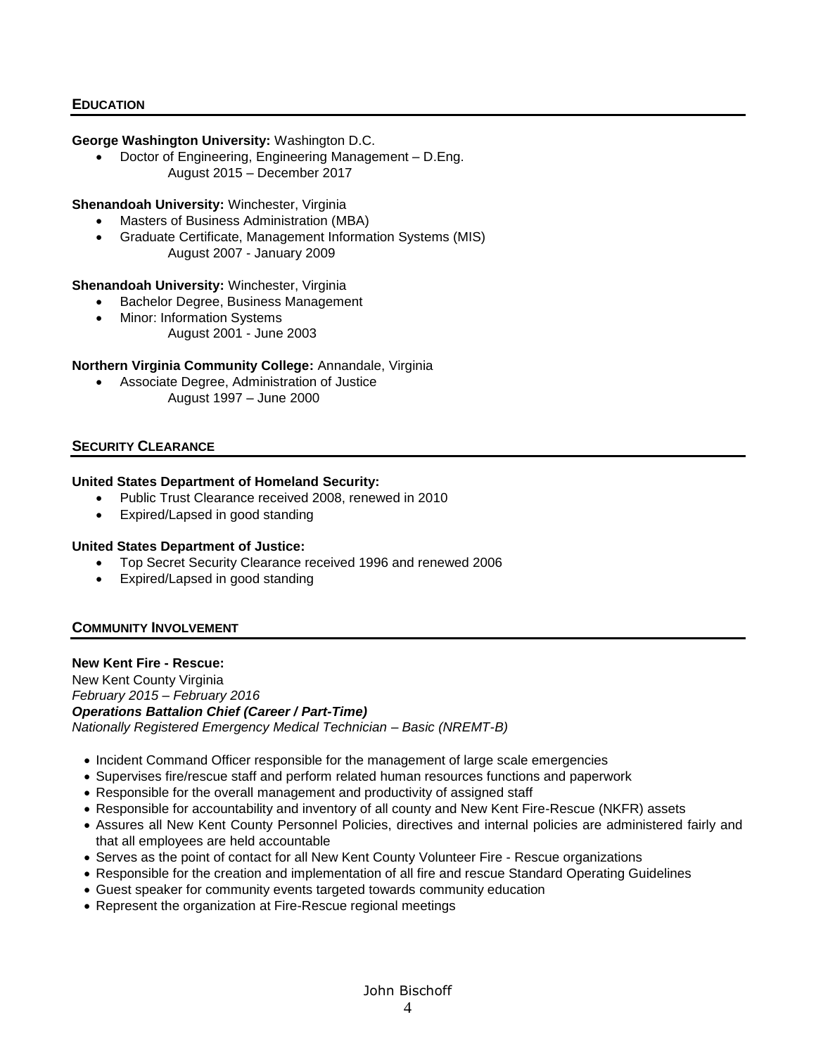## **EDUCATION**

#### **George Washington University:** Washington D.C.

• Doctor of Engineering, Engineering Management – D.Eng. August 2015 – December 2017

#### **Shenandoah University:** Winchester, Virginia

- Masters of Business Administration (MBA)
- Graduate Certificate, Management Information Systems (MIS) August 2007 - January 2009

# **Shenandoah University:** Winchester, Virginia

- Bachelor Degree, Business Management
- Minor: Information Systems
	- August 2001 June 2003

### **Northern Virginia Community College:** Annandale, Virginia

• Associate Degree, Administration of Justice August 1997 – June 2000

## **SECURITY CLEARANCE**

#### **United States Department of Homeland Security:**

- Public Trust Clearance received 2008, renewed in 2010
- Expired/Lapsed in good standing

### **United States Department of Justice:**

- Top Secret Security Clearance received 1996 and renewed 2006
- Expired/Lapsed in good standing

### **COMMUNITY INVOLVEMENT**

#### **New Kent Fire - Rescue:**

New Kent County Virginia *February 2015 – February 2016 Operations Battalion Chief (Career / Part-Time) Nationally Registered Emergency Medical Technician – Basic (NREMT-B)*

- Incident Command Officer responsible for the management of large scale emergencies
- Supervises fire/rescue staff and perform related human resources functions and paperwork
- Responsible for the overall management and productivity of assigned staff
- Responsible for accountability and inventory of all county and New Kent Fire-Rescue (NKFR) assets
- Assures all New Kent County Personnel Policies, directives and internal policies are administered fairly and that all employees are held accountable
- Serves as the point of contact for all New Kent County Volunteer Fire Rescue organizations
- Responsible for the creation and implementation of all fire and rescue Standard Operating Guidelines
- Guest speaker for community events targeted towards community education
- Represent the organization at Fire-Rescue regional meetings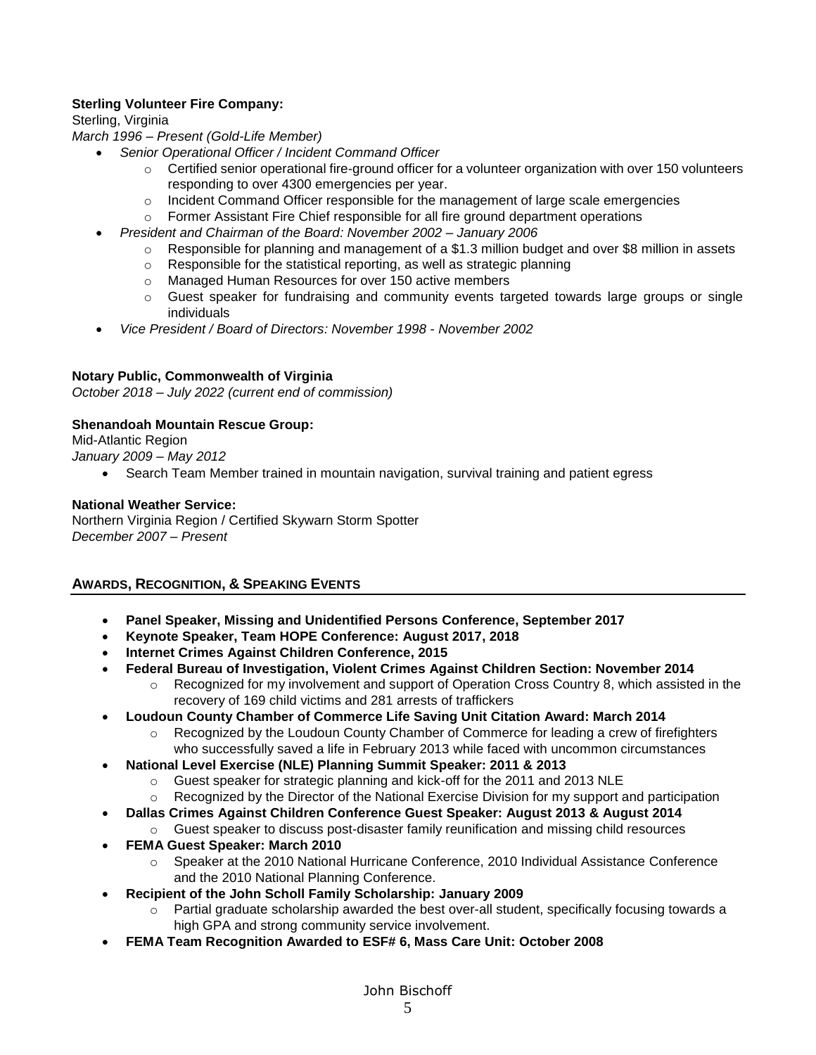# **Sterling Volunteer Fire Company:**

Sterling, Virginia

*March 1996 – Present (Gold-Life Member)* 

- *Senior Operational Officer / Incident Command Officer* 
	- $\circ$  Certified senior operational fire-ground officer for a volunteer organization with over 150 volunteers responding to over 4300 emergencies per year.
	- $\circ$  Incident Command Officer responsible for the management of large scale emergencies
	- $\circ$  Former Assistant Fire Chief responsible for all fire ground department operations
- *President and Chairman of the Board: November 2002 – January 2006* 
	- $\circ$  Responsible for planning and management of a \$1.3 million budget and over \$8 million in assets
	- o Responsible for the statistical reporting, as well as strategic planning
	- o Managed Human Resources for over 150 active members
	- $\circ$  Guest speaker for fundraising and community events targeted towards large groups or single individuals
- *Vice President / Board of Directors: November 1998 - November 2002*

## **Notary Public, Commonwealth of Virginia**

*October 2018 – July 2022 (current end of commission)*

## **Shenandoah Mountain Rescue Group:**

Mid-Atlantic Region

*January 2009 – May 2012*

• Search Team Member trained in mountain navigation, survival training and patient egress

## **National Weather Service:**

Northern Virginia Region / Certified Skywarn Storm Spotter *December 2007 – Present* 

# **AWARDS, RECOGNITION, & SPEAKING EVENTS**

- **Panel Speaker, Missing and Unidentified Persons Conference, September 2017**
- **Keynote Speaker, Team HOPE Conference: August 2017, 2018**
- **Internet Crimes Against Children Conference, 2015**
- **Federal Bureau of Investigation, Violent Crimes Against Children Section: November 2014**
	- $\circ$  Recognized for my involvement and support of Operation Cross Country 8, which assisted in the recovery of 169 child victims and 281 arrests of traffickers
- **Loudoun County Chamber of Commerce Life Saving Unit Citation Award: March 2014**
	- o Recognized by the Loudoun County Chamber of Commerce for leading a crew of firefighters who successfully saved a life in February 2013 while faced with uncommon circumstances
- **National Level Exercise (NLE) Planning Summit Speaker: 2011 & 2013**
	- $\circ$  Guest speaker for strategic planning and kick-off for the 2011 and 2013 NLE
	- $\circ$  Recognized by the Director of the National Exercise Division for my support and participation
- **Dallas Crimes Against Children Conference Guest Speaker: August 2013 & August 2014**
- o Guest speaker to discuss post-disaster family reunification and missing child resources
- **FEMA Guest Speaker: March 2010** 
	- o Speaker at the 2010 National Hurricane Conference, 2010 Individual Assistance Conference and the 2010 National Planning Conference.
- **Recipient of the John Scholl Family Scholarship: January 2009** 
	- $\circ$  Partial graduate scholarship awarded the best over-all student, specifically focusing towards a high GPA and strong community service involvement.
- **FEMA Team Recognition Awarded to ESF# 6, Mass Care Unit: October 2008**